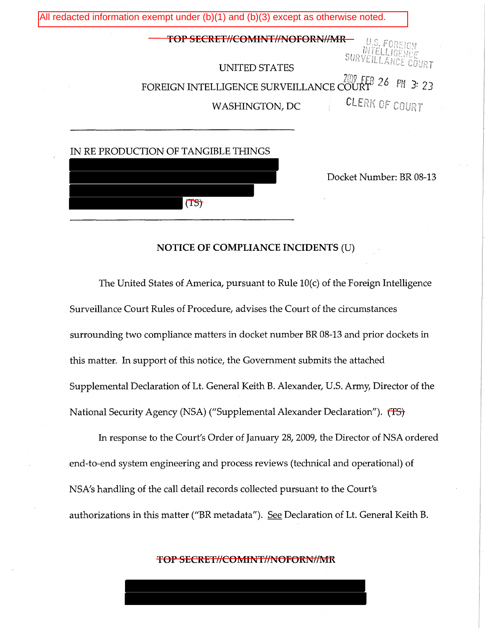

### **NOTICE OF COMPLIANCE INCIDENTS** (U)

The United States of America, pursuant to Rule lO(c) of the Foreign Intelligence Surveillance Court Rules of Procedure, advises the Court of the circumstances surrounding two compliance matters in docket number BR 08-13 and prior dockets in this matter. In support of this notice, the Government submits the attached Supplemental Declaration of Lt. General Keith B. Alexander, U.S. Army, Director of the National Security Agency (NSA) ("Supplemental Alexander Declaration"). (TS)

In response to the Court's Order of January 28, 2009, the Director of NSA ordered end-to-end system engineering and process reviews (technical and operational) of NSA's handling of the call detail records collected pursuant to the Court's authorizations in this matter ("BR metadata"). See Declaration of Lt. General Keith B.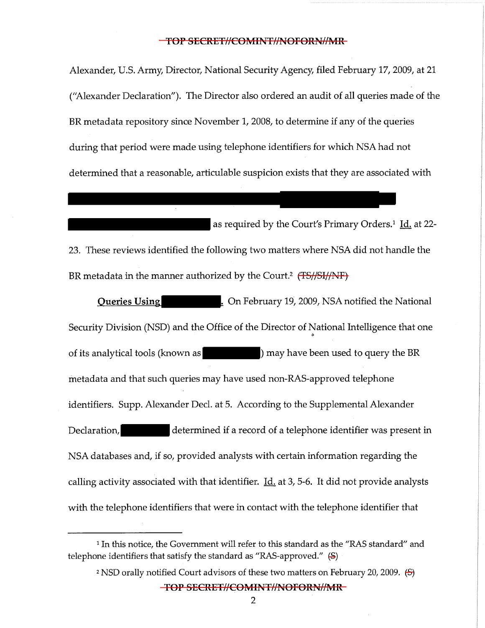Alexander, U.S. Army, Director, National Security Agency, filed February 17, 2009, at 21 ("Alexander Declaration"). The Director also ordered an audit of all queries made of the BR metadata repository since November 1, 2008, to determine if any of the queries during that period were made using telephone identifiers for which NSA had not determined that a reasonable, articulable suspicion exists that they are associated with

as required by the Court's Primary Orders.<sup>1</sup> Id. at 22-23. These reviews identified the following two matters where NSA did not handle the BR metadata in the manner authorized by the Court.<sup>2</sup> (TS//SI//NF)

**Queries Using 19, 2009, NSA notified the National 10. Property 19, 2009, NSA notified the National** Security Division (NSD) and the Office of the Director of National Intelligence that one of its analytical tools (known as ) may have been used to query the BR metadata and that such queries may have used non-RAS-approved telephone identifiers. Supp. Alexander Decl. at 5. According to the Supplemental Alexander Declaration, determined if a record of a telephone identifier was present in NSA databases and, if so, provided analysts with certain information regarding the calling activity associated with that identifier.  $\underline{Id}$  at 3, 5-6. It did not provide analysts with the telephone identifiers that were in contact with the telephone identifier that

<sup>2</sup> NSD orally notified Court advisors of these two matters on February 20, 2009. (S)

<sup>&</sup>lt;sup>1</sup> In this notice, the Government will refer to this standard as the "RAS standard" and telephone identifiers that satisfy the standard as "RAS-approved." (S)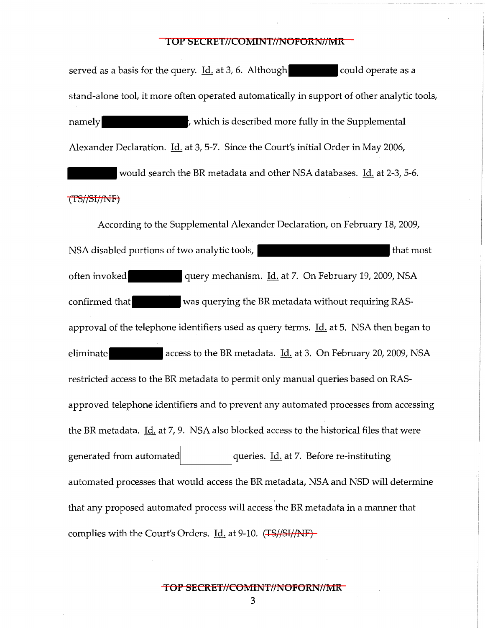served as a basis for the query.  $\underline{Id}$  at 3, 6. Although could operate as a stand-alone tool, it more often operated automatically in support of other analytic tools, namely **namely**, which is described more fully in the Supplemental Alexander Declaration. Id. at 3, 5-7. Since the Court's initial Order in May 2006, would search the BR metadata and other NSA databases. Id. at 2-3, 5-6.

### (TS//SI//NF)

According to the Supplemental Alexander Declaration, on February 18, 2009, NSA disabled portions of two analytic tools, the most disabled portions of two analytic tools, often invoked query mechanism. Id. at 7. On February 19, 2009, NSA confirmed that was querying the BR metadata without requiring RASapproval of the telephone identifiers used as query terms.  $\underline{Id}$  at 5. NSA then began to eliminate access to the BR metadata. Id. at 3. On February 20, 2009, NSA restricted access to the BR metadata to permit only manual queries based on RASapproved telephone identifiers and to prevent any automated processes from accessing the BR metadata. Id. at 7, 9. NSA also blocked access to the historical files that were generated from automated queries. Id. at 7. Before re-instituting automated processes that would access the BR metadata, NSA and NSD will determine that any proposed automated process will access the BR metadata in a manner that complies with the Court's Orders. Id. at 9-10. (TS//SI//NF)-

**TOP SECRET//COMINT//NOFORN//MR** 

3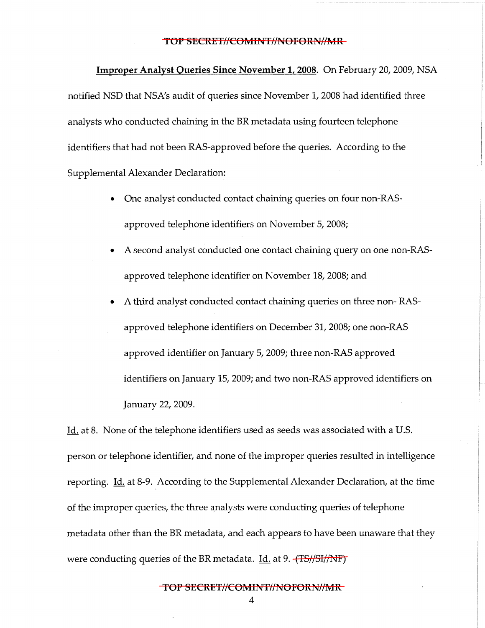**Improper Analyst Queries Since November 1, 2008.** On February 20, 2009, NSA notified NSD that NSA's audit of queries since November 1, 2008 had identified three analysts who conducted chaining in the BR metadata using fourteen telephone identifiers that had not been RAS-approved before the queries. According to the Supplemental Alexander Declaration:

- One analyst conducted contact chaining queries on four non-RASapproved telephone identifiers on November 5, 2008;
- A second analyst conducted one contact chaining query on one non-RASapproved telephone identifier on November 18, 2008; and
- A third analyst conducted contact chaining queries on three non- RASapproved telephone identifiers on December 31, 2008; one non-RAS approved identifier on January 5, 2009; three non-RAS approved identifiers on January 15, 2009; and two non-RAS approved identifiers on January 22, 2009.

Id. at 8. None of the telephone identifiers used as seeds was associated with a U.S. person or telephone identifier, and none of the improper queries resulted in intelligence reporting. Id. at 8-9. According to the Supplemental Alexander Declaration, at the time of the improper queries, the three analysts were conducting queries of telephone metadata other than the BR metadata, and each appears to have been unaware that they were conducting queries of the BR metadata. Id. at 9.  $\left(\frac{TS}{/ST}{N}F\right)$ 

**TOP SECRET//COMINT//NOFORN//MR** 

4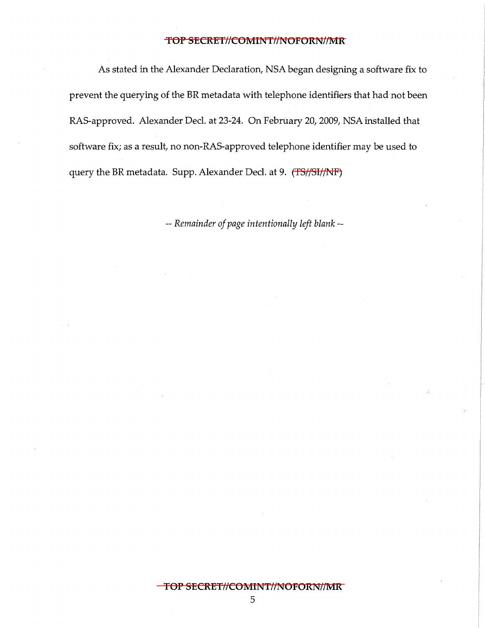As stated in the Alexander Declaration, NSA began designing a software fix to prevent the querying of the BR metadata with telephone identifiers that had not been RAS-approved. Alexander Deel. at 23-24. On February 20, 2009, NSA installed that software fix; as a result, no non-RAS-approved telephone identifier may be used to query the BR metadata. Supp. Alexander Decl. at 9. (TS//SI//NF)

-- *Remainder of page intentionally left blank* --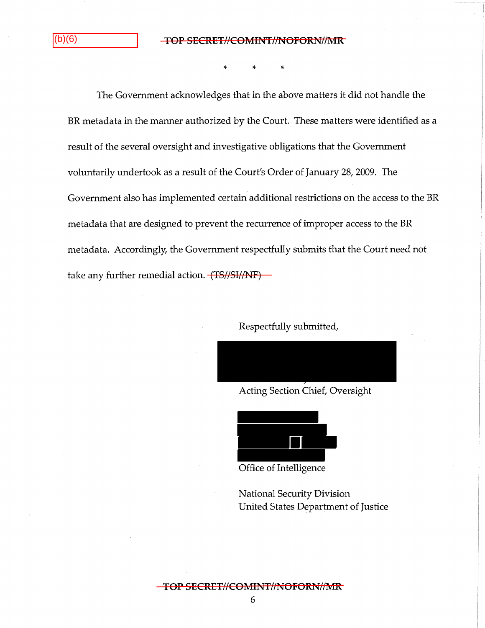$|(b)(6)$ 

\* \* \*

The Government acknowledges that in the above matters it did not handle the BR metadata in the manner authorized by the Court. These matters were identified as a result of the several oversight and investigative obligations that the Government voluntarily undertook as a result of the Court's Order of January 28, 2009. The Government also has implemented certain additional restrictions on the access to the BR metadata that are designed to prevent the recurrence of improper access to the BR metadata. Accordingly, the Government respectfully submits that the Court need not take any further remedial action. (TS//SI//NF)

Respectfully submitted,

Acting Section Chief, Oversight



Office of Intelligence

National Security Division United States Department of Justice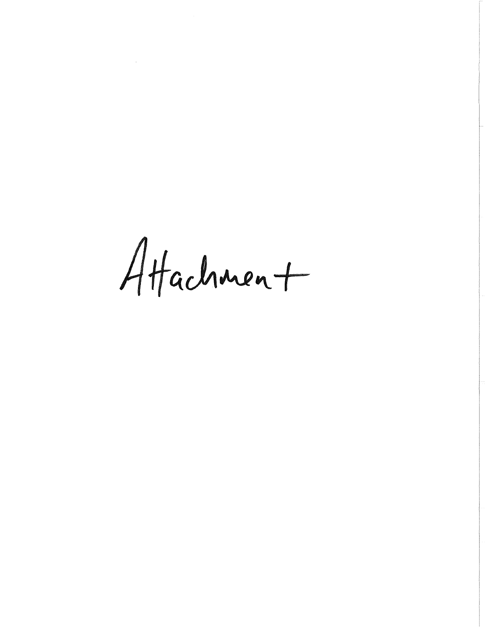Attachment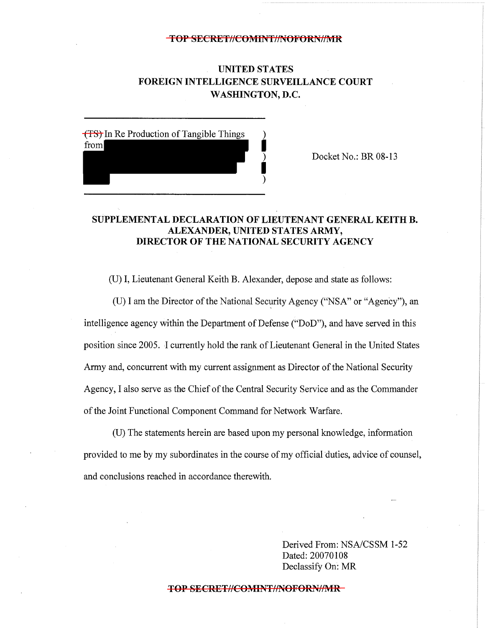# **UNITED STATES FOREIGN INTELLIGENCE SURVEILLANCE COURT WASHINGTON, D.C.**



Docket No.: BR 08-13

# **SUPPLEMENTAL DECLARATION OF LIEUTENANT GENERAL KEITH B. ALEXANDER, UNITED STATES ARMY, DIRECTOR OF THE NATIONAL SECURITY AGENCY**

(U) I, Lieutenant General Keith B. Alexander, depose and state as follows:

(U) I am the Director of the National Security Agency ("NSA" or "Agency"), an intelligence agency within the Department of Defense ("DoD"), and have served in this position since 2005. I currently hold the rank of Lieutenant General in the United States Army and, concurrent with my current assignment as Director of the National Security Agency, I also serve as the Chief of the Central Security Service and as the Commander of the Joint Functional Component Command for Network Warfare.

(U) The statements herein are based upon my personal knowledge, information provided to me by my subordinates in the course of my official duties, advice of counsel, and conclusions reached in accordance therewith.

> Derived From: NSA/CSSM 1-52 Dated: 20070108 Declassify On: MR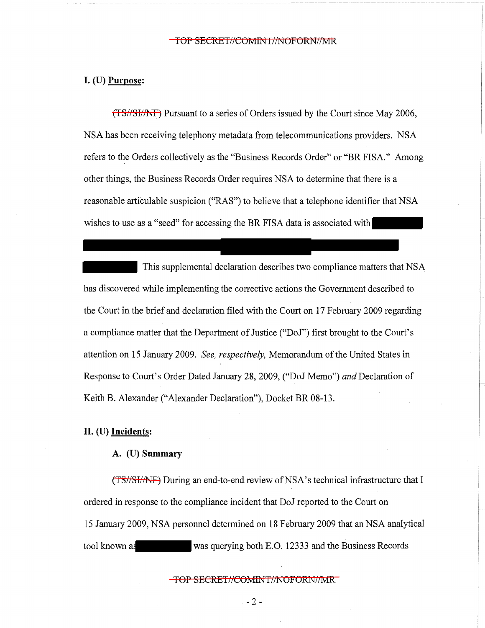# I. (U) **Purpose:**

(TS//SI//NF) Pursuant to a series of Orders issued by the Court since May 2006, NSA has been receiving telephony metadata from telecommunications providers. NSA refers to the Orders collectively as the "Business Records Order" or "BR FISA." Among other things, the Business Records Order requires NSA to determine that there is a reasonable articulable suspicion ("RAS") to believe that a telephone identifier that NSA wishes to use as a "seed" for accessing the BR FISA data is associated with

This supplemental declaration describes two compliance matters that NSA has discovered while implementing the corrective actions the Government described to the Court in the brief and declaration filed with the Court on 17 February 2009 regarding a compliance matter that the Department of Justice ("DoJ") first brought to the Court's attention on 15 January 2009. *See, respectively,* Memorandum of the United States in Response to Court's Order Dated January 28, 2009, ("DoJ Memo") *and* Declaration of Keith B. Alexander ("Alexander Declaration"), Docket BR 08-13.

# II. (U) **Incidents:**

# A. (U) **Summary**

(TS//SI//NF) During an end-to-end review of NSA's technical infrastructure that I ordered in response to the compliance incident that DoJ reported to the Court on 15 January 2009, NSA personnel determined on 18 February 2009 that an NSA analytical tool known as was querying both E.O. 12333 and the Business Records

TOP SECRET//COMINT//NOFORN//MR

 $-2 -$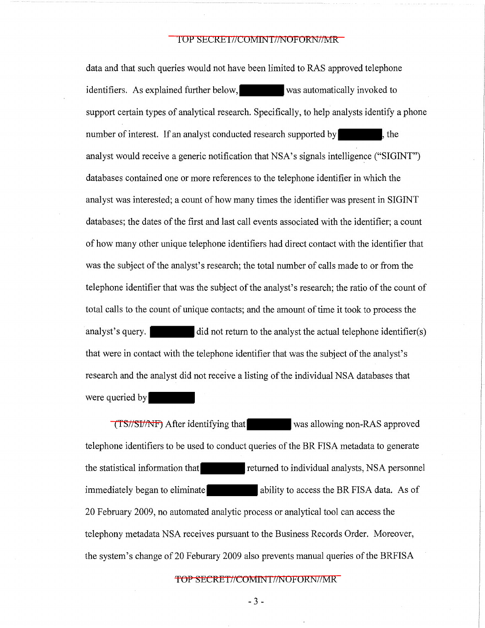data and that such queries would not have been limited to RAS approved telephone identifiers. As explained further below, was automatically invoked to support certain types of analytical research. Specifically, to help analysts identify a phone number of interest. If an analyst conducted research supported by  $\blacksquare$ , the analyst would receive a generic notification that NSA's signals intelligence ("SIGINT") databases contained one or more references to the telephone identifier in which the analyst was interested; a count of how many times the identifier was present in SIGINT databases; the dates of the first and last call events associated with the identifier; a count of how many other unique telephone identifiers had direct contact with the identifier that was the subject of the analyst's research; the total number of calls made to or from the telephone identifier that was the subject of the analyst's research; the ratio of the count of total calls to the count of unique contacts; and the amount of time it took to process the analyst's query.  $\qquad \qquad$  did not return to the analyst the actual telephone identifier(s) that were in contact with the telephone identifier that was the subject of the analyst's research and the analyst did not receive a listing of the individual NSA databases that were queried by

(TS//SI//NF) After identifying that-was allowing non-RAS approved telephone identifiers to be used to conduct queries of the BR FISA metadata to generate the statistical information that returned to individual analysts, NSA personnel immediately began to eliminate ability to access the BR FISA data. As of 20 February 2009, no automated analytic process or analytical tool can access the telephony metadata NSA receives pursuant to the Business Records Order. Moreover, the system's change of 20 Feburary 2009 also prevents manual queries of the BRFISA

TOP SECRET//COMINT//NOFORN//MR

- 3 -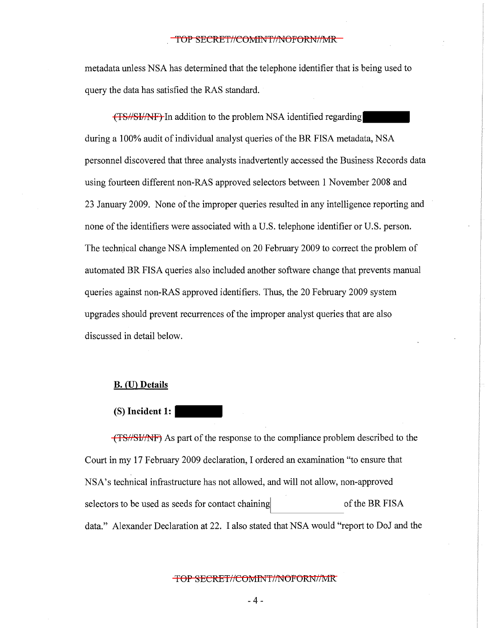metadata unless NSA has determined that the telephone identifier that is being used to query the data has satisfied the RAS standard.

(TS//SI//NF) In addition to the problem NSA identified regardingduring a 100% audit of individual analyst queries of the BR FISA metadata, NSA personnel discovered that three analysts inadvertently accessed the Business Records data using fourteen different non-RAS approved selectors between 1 November 2008 and 23 January 2009. None of the improper queries resulted in any intelligence reporting and none of the identifiers were associated with a U.S. telephone identifier or U.S. person. The technical change NSA implemented on 20 February 2009 to correct the problem of automated BR FISA queries also included another software change that prevents manual queries against non-RAS approved identifiers. Thus, the 20 February 2009 system upgrades should prevent recurrences of the improper analyst queries that are also discussed in detail below.

#### **B. (U) Details**

#### (S) **Incident 1:** -

(TS//SI//NF) As part of the response to the compliance problem described to the Court in my 17 February 2009 declaration, I ordered an examination "to ensure that NSA's technical infrastructure has not allowed, and will not allow, non-approved selectors to be used as seeds for contact chaining of the BR FISA data." Alexander Declaration at 22. I also stated that NSA would "report to DoJ and the

### TOP SECRET//COMINT//NOFORN//MR

- 4 -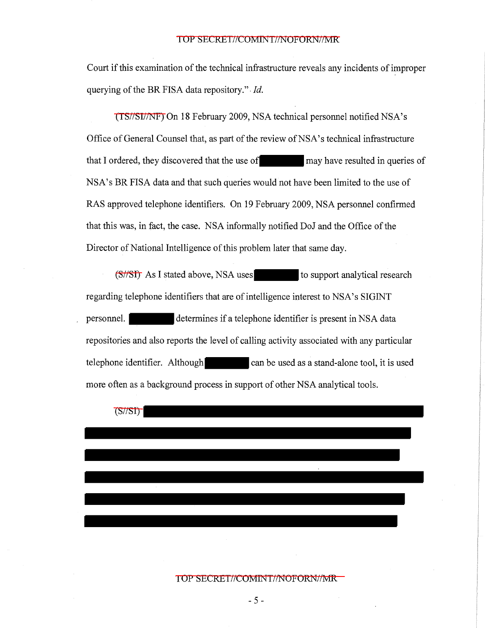Court if this examination of the technical infrastructure reveals any incidents of improper querying of the BR FISA data repository.". *Id.* 

(TS//SI//NF) On 18 February 2009, NSA technical personnel notified NSA's Office of General Counsel that, as part of the review of NSA's technical infrastructure<br>that I ordered, they discovered that the use of<br>may have resulted in queries of NSA's BR FISA data and that such queries would not have been limited to the use of RAS approved telephone identifiers. On 19 February 2009, NSA personnel confirmed that this was, in fact, the case. NSA informally notified DoJ and the Office of the Director of National Intelligence of this problem later that same day.

 $(S/\sqrt{ST})$  As I stated above, NSA uses<br>to support analytical research regarding telephone identifiers that are of intelligence interest to NSA's SIGINT personnel. determines if a telephone identifier is present in NSA data repositories and also reports the level of calling activity associated with any particular telephone identifier. Although can be used as a stand-alone tool, it is used more often as a background process in support of other NSA analytical tools.

(S//SI)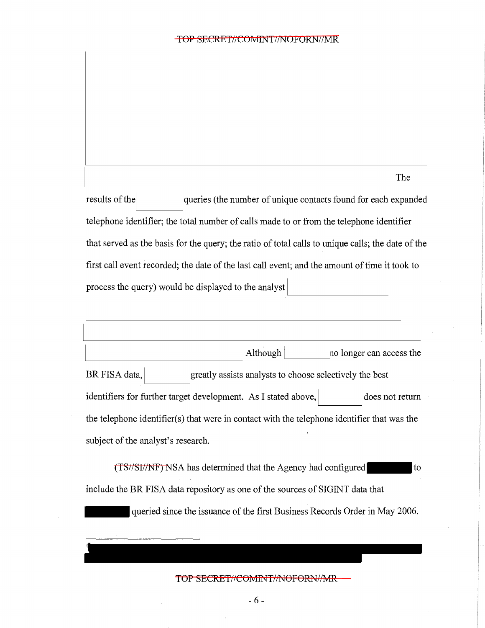results of the queries (the number of unique contacts found for each expanded telephone identifier; the total number of calls made to or from the telephone identifier that served as the basis for the query; the ratio of total calls to unique calls; the date of the first call event recorded; the date of the last call event; and the amount of time it took to process the query) would be displayed to the analyst

The

|                                                                                             | Although $ $                                                   |  |  | no longer can access the |
|---------------------------------------------------------------------------------------------|----------------------------------------------------------------|--|--|--------------------------|
| BR FISA data,                                                                               | greatly assists analysts to choose selectively the best        |  |  |                          |
|                                                                                             | identifiers for further target development. As I stated above, |  |  | does not return          |
| the telephone identifier(s) that were in contact with the telephone identifier that was the |                                                                |  |  |                          |
| subject of the analyst's research.                                                          |                                                                |  |  |                          |

(TS//SI/NF) NSA has determined that the Agency had configured to include the BR FISA data repository as one of the sources of SIGINT data that

queried since the issuance of the first Business Records Order in May 2006.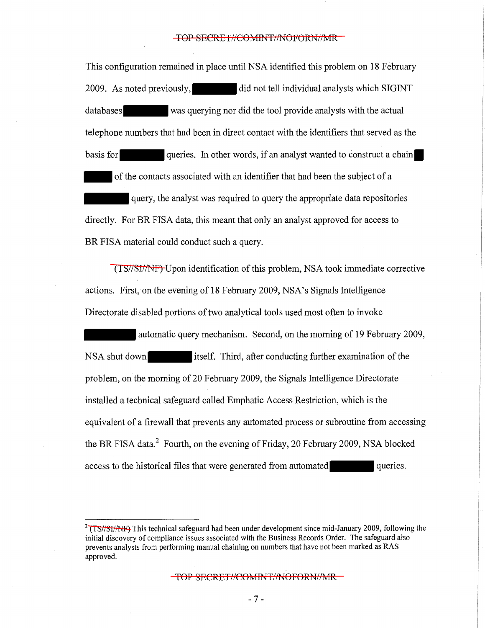This configuration remained in place until NSA identified this problem on 18 February 2009. As noted previously, did not tell individual analysts which SIGINT databases was querying nor did the tool provide analysts with the actual telephone numbers that had been in direct contact with the identifiers that served as the basis for queries. In other words, if an analyst wanted to construct a chain. of the contacts associated with an identifier that had been the subject of a -query, the analyst was required to query the appropriate data repositories directly. For BR FISA data, this meant that only an analyst approved for access to BR FISA material could conduct such a query.

(TS//SI//NF) Upon identification of this problem, NSA took immediate corrective actions. First, on the evening of 18 February 2009, NSA's Signals Intelligence Directorate disabled portions of two analytical tools used most often to invoke

automatic query mechanism. Second, on the morning of 19 February 2009, NSA shut down itself. Third, after conducting further examination of the problem, on the morning of 20 February 2009, the Signals Intelligence Directorate installed a technical safeguard called Emphatic Access Restriction, which is the equivalent of a firewall that prevents any automated process or subroutine from accessing the BR FISA data.<sup>2</sup> Fourth, on the evening of Friday, 20 February 2009, NSA blocked access to the historical files that were generated from automated queries.

TOP SECRET//COMINT//NOFORN//MR

- 7 -

<sup>&</sup>lt;sup>2</sup> (TS//SI//NF) This technical safeguard had been under development since mid-January 2009, following the initial discovery of compliance issues associated with the Business Records Order. The safeguard also prevents analysts from performing manual chaining on numbers that have not been marked as RAS approved.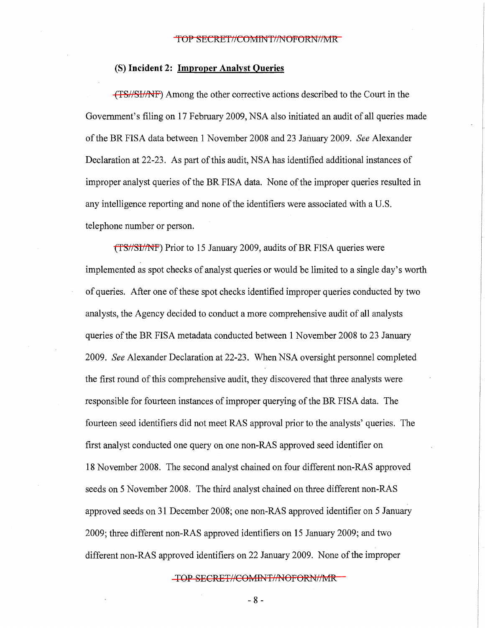### (S) **Incident 2: Improper Analyst Queries**

(TS/ /SI/ /NF) Among the other corrective actions described to the Court in the Government's filing on 17 February 2009, NSA also initiated an audit of all queries made of the BR FISA data between 1November2008 and 23 January 2009. *See* Alexander Declaration at 22-23. As part of this audit, NSA has identified additional instances of improper analyst queries of the BR FISA data. None of the improper queries resulted in any intelligence reporting and none of the identifiers were associated with a U.S. telephone number or person.

(TS//SI/NF) Prior to 15 January 2009, audits of BR FISA queries were implemented as spot checks of analyst queries or would be limited to a single day's worth of queries. After one of these spot checks identified improper queries conducted by two analysts, the Agency decided to conduct a more comprehensive audit of all analysts queries of the BR FISA metadata conducted between 1 November 2008 to 23 January 2009. *See* Alexander Declaration at 22-23. When NSA oversight personnel completed the first round of this comprehensive audit, they discovered that three analysts were responsible for fourteen instances of improper querying of the BR FISA data. The fourteen seed identifiers did not meet RAS approval prior to the analysts' queries. The first analyst conducted one query on one non-RAS approved seed identifier on 18 November 2008. The second analyst chained on four different non-RAS approved seeds on 5 November 2008. The third analyst chained on three different non-RAS approved seeds on 31 December 2008; one non-RAS approved identifier on 5 January 2009; three different non-RAS approved identifiers on 15 January 2009; and two different non-RAS approved identifiers on 22 January 2009. None of the improper

TOP SECRET//COMINT//NOFORN//MR

- 8 -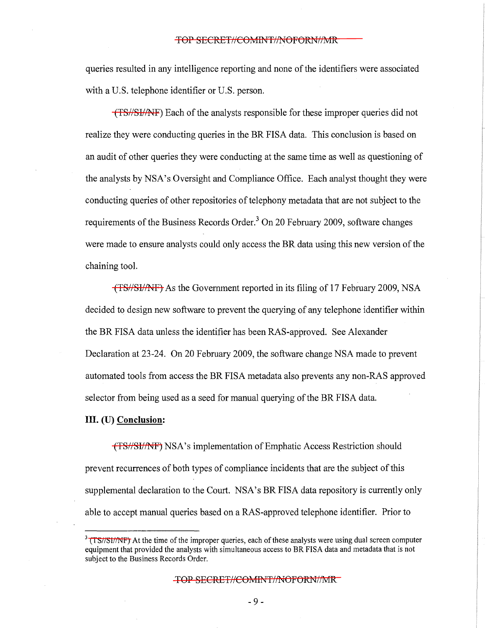queries resulted in any intelligence reporting and none of the identifiers were associated with a U.S. telephone identifier or U.S. person.

(TS//SI//NF) Each of the analysts responsible for these improper queries did not realize they were conducting queries in the BR FISA data. This conclusion is based on an audit of other queries they were conducting at the same time as well as questioning of the analysts by NSA's Oversight and Compliance Office. Each analyst thought they were conducting queries of other repositories of telephony metadata that are not subject to the requirements of the Business Records Order.<sup>3</sup> On 20 February 2009, software changes were made to ensure analysts could only access the BR data using this new version of the chaining tool.

(TS//SI//NF) As the Government reported in its filing of 17 February 2009, NSA decided to design new software to prevent the querying of any telephone identifier within the BR FISA data unless the identifier has been RAS-approved. See Alexander Declaration at 23-24. On 20 February 2009, the software change NSA made to prevent automated tools from access the BR FISA metadata also prevents any non-RAS approved selector from being used as a seed for manual querying of the BR FISA data.

### III. (U) **Conclusion:**

(TS//SI//NF) NSA's implementation of Emphatic Access Restriction should prevent recurrences of both types of compliance incidents that are the subject of this supplemental declaration to the Court. NSA's BR FISA data repository is currently only able to accept manual queries based on a RAS-approved telephone identifier. Prior to

 $3$  (TS//SI//NF) At the time of the improper queries, each of these analysts were using dual screen computer equipment that provided the analysts with simultaneous access to BR FISA data and metadata that is not subject to the Business Records Order.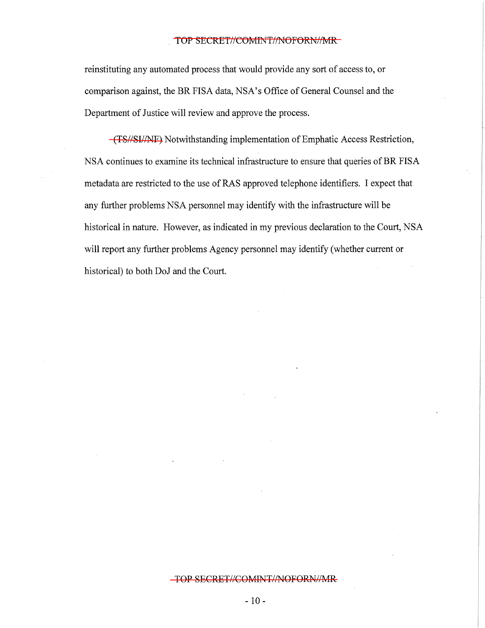reinstituting any automated process that would provide any sort of access to, or comparison against, the BR FISA data, NSA's Office of General Counsel and the Department of Justice will review and approve the process.

(TS//SI//NF) Notwithstanding implementation of Emphatic Access Restriction, NSA continues to examine its technical infrastructure to ensure that queries of BR FISA metadata are restricted to the use of RAS approved telephone identifiers. I expect that any further problems NSA personnel may identify with the infrastructure will be historical in nature. However, as indicated in my previous declaration to the Court, NSA will report any further problems Agency personnel may identify (whether current or historical) to both DoJ and the Court.